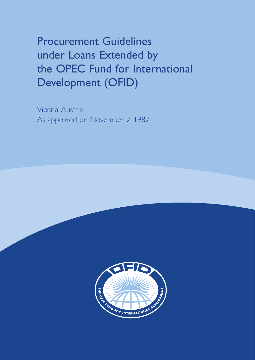Procurement Guidelines under Loans Extended by the OPEC Fund for International Development (OFID)

Vienna, Austria As approved on November 2, 1982

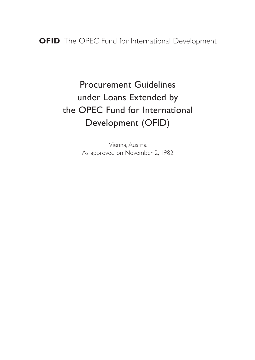Procurement Guidelines under Loans Extended by the OPEC Fund for International Development (OFID)

> Vienna, Austria As approved on November 2, 1982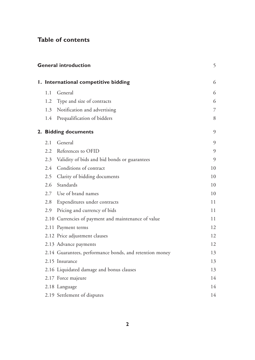# **Table of contents**

| <b>General introduction</b> |                      |                                                         |    |
|-----------------------------|----------------------|---------------------------------------------------------|----|
|                             |                      | I. International competitive bidding                    | 6  |
|                             | 1.1                  | General                                                 | 6  |
|                             | 1.2                  | Type and size of contracts                              | 6  |
|                             | 1.3                  | Notification and advertising                            | 7  |
|                             | 1.4                  | Prequalification of bidders                             | 8  |
|                             | 2. Bidding documents |                                                         |    |
|                             | 2.1                  | General                                                 | 9  |
|                             | $2.2^{\circ}$        | References to OFID                                      | 9  |
|                             | 2.3                  | Validity of bids and bid bonds or guarantees            | 9  |
|                             | 2.4                  | Conditions of contract                                  | 10 |
|                             | 2.5                  | Clarity of bidding documents                            | 10 |
|                             |                      | 2.6 Standards                                           | 10 |
|                             |                      | 2.7 Use of brand names                                  | 10 |
|                             | 2.8                  | Expenditures under contracts                            | 11 |
|                             | 2.9                  | Pricing and currency of bids                            | 11 |
|                             |                      | 2.10 Currencies of payment and maintenance of value     | 11 |
|                             |                      | 2.11 Payment terms                                      | 12 |
|                             |                      | 2.12 Price adjustment clauses                           | 12 |
|                             |                      | 2.13 Advance payments                                   | 12 |
|                             |                      | 2.14 Guarantees, performance bonds, and retention money | 13 |
|                             |                      | 2.15 Insurance                                          | 13 |
|                             |                      | 2.16 Liquidated damage and bonus clauses                | 13 |
|                             |                      | 2.17 Force majeure                                      | 14 |
|                             |                      | 2.18 Language                                           | 14 |
|                             |                      | 2.19 Settlement of disputes                             | 14 |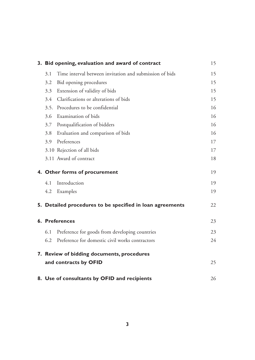|                               | 3. Bid opening, evaluation and award of contract          | 15 |
|-------------------------------|-----------------------------------------------------------|----|
| 3.1                           | Time interval between invitation and submission of bids   | 15 |
| 3.2                           | Bid opening procedures                                    | 15 |
| 3.3                           | Extension of validity of bids                             | 15 |
| $3.4^{\circ}$                 | Clarifications or alterations of bids                     | 15 |
|                               | 3.5. Procedures to be confidential                        | 16 |
| 3.6                           | Examination of bids                                       | 16 |
| 3.7                           | Postqualification of bidders                              | 16 |
| 3.8                           | Evaluation and comparison of bids                         | 16 |
| 3.9                           | Preferences                                               | 17 |
|                               | 3.10 Rejection of all bids                                | 17 |
|                               | 3.11 Award of contract                                    | 18 |
| 4. Other forms of procurement |                                                           |    |
| 4.1                           | Introduction                                              | 19 |
| 4.2                           | Examples                                                  | 19 |
|                               | 5. Detailed procedures to be specified in loan agreements | 22 |
|                               | 6. Preferences                                            | 23 |
| 6.1                           | Preference for goods from developing countries            | 23 |
| 6.2                           | Preference for domestic civil works contractors           | 24 |
|                               | 7. Review of bidding documents, procedures                |    |
|                               | and contracts by OFID                                     | 25 |
|                               | 8. Use of consultants by OFID and recipients              | 26 |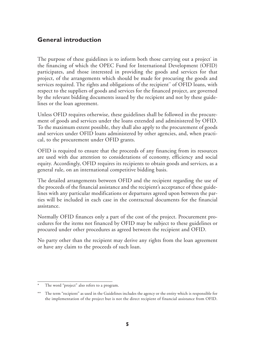## **General introduction**

The purpose of these guidelines is to inform both those carrying out a project in the financing of which the OPEC Fund for International Development (OFID) participates, and those interested in providing the goods and services for that project, of the arrangements which should be made for procuring the goods and services required. The rights and obligations of the recipient" of OFID loans, with respect to the suppliers of goods and services for the financed project, are governed by the relevant bidding documents issued by the recipient and not by these guidelines or the loan agreement.

Unless OFID requires otherwise, these guidelines shall be followed in the procurement of goods and services under the loans extended and administered by OFID. To the maximum extent possible, they shall also apply to the procurement of goods and services under OFID loans administered by other agencies, and, when practical, to the procurement under OFID grants.

OFID is required to ensure that the proceeds of any financing from its resources are used with due attention to considerations of economy, efficiency and social equity. Accordingly, OFID requires its recipients to obtain goods and services, as a general rule, on an international competitive bidding basis.

The detailed arrangements between OFID and the recipient regarding the use of the proceeds of the financial assistance and the recipient's acceptance of these guidelines with any particular modifications or departures agreed upon between the parties will be included in each case in the contractual documents for the financial assistance.

Normally OFID finances only a part of the cost of the project. Procurement procedures for the items not financed by OFID may be subject to these guidelines or procured under other procedures as agreed between the recipient and OFID.

No party other than the recipient may derive any rights from the loan agreement or have any claim to the proceeds of such loan.

The word "project" also refers to a program.

<sup>\*\*</sup> The term "recipient" as used in the Guidelines includes the agency or the entity which is responsible for the implementation of the project but is not the direct recipient of financial assistance from OFID.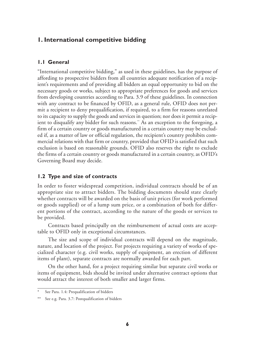## **1. International competitive bidding**

#### **1.1 General**

"International competitive bidding," as used in these guidelines, has the purpose of affording to prospective bidders from all countries adequate notification of a recipient's requirements and of providing all bidders an equal opportunity to bid on the necessary goods or works, subject to appropriate preferences for goods and services from developing countries according to Para. 3.9 of these guidelines. In connection with any contract to be financed by OFID, as a general rule, OFID does not permit a recipient to deny prequalification, if required, to a firm for reasons unrelated to its capacity to supply the goods and services in question; nor does it permit a recipient to disqualify any bidder for such reasons." As an exception to the foregoing, a firm of a certain country or goods manufactured in a certain country may be excluded if, as a matter of law or official regulation, the recipient's country prohibits commercial relations with that firm or country, provided that OFID is satisfied that such exclusion is based on reasonable grounds. OFID also reserves the right to exclude the firms of a certain country or goods manufactured in a certain country, as OFID's Governing Board may decide.

### **1.2 Type and size of contracts**

In order to foster widespread competition, individual contracts should be of an appropriate size to attract bidders. The bidding documents should state clearly whether contracts will be awarded on the basis of unit prices (for work performed or goods supplied) or of a lump sum price, or a combination of both for different portions of the contract, according to the nature of the goods or services to be provided.

Contracts based principally on the reimbursement of actual costs are acceptable to OFID only in exceptional circumstances.

The size and scope of individual contracts will depend on the magnitude, nature, and location of the project. For projects requiring a variety of works of specialized character (e.g. civil works, supply of equipment, an erection of different items of plant), separate contracts are normally awarded for each part.

On the other hand, for a project requiring similar but separate civil works or items of equipment, bids should be invited under alternative contract options that would attract the interest of both smaller and larger firms.

See Para. 1.4: Prequalification of bidders

<sup>\*\*</sup> See e.g. Para. 3.7: Postqualification of bidders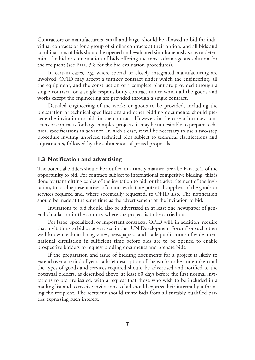Contractors or manufacturers, small and large, should be allowed to bid for individual contracts or for a group of similar contracts at their option, and all bids and combinations of bids should be opened and evaluated simultaneously so as to determine the bid or combination of bids offering the most advantageous solution for the recipient (see Para. 3.8 for the bid evaluation procedures).

In certain cases, e.g. where special or closely integrated manufacturing are involved, OFID may accept a turnkey contract under which the engineering, all the equipment, and the construction of a complete plant are provided through a single contract, or a single responsibility contract under which all the goods and works except the engineering are provided through a single contract.

Detailed engineering of the works or goods to be provided, including the preparation of technical specifications and other bidding documents, should precede the invitation to bid for the contract. However, in the case of turnkey contracts or contracts for large complex projects, it may be undesirable to prepare technical specifications in advance. In such a case, it will be necessary to use a two-step procedure inviting unpriced technical bids subject to technical clarifications and adjustments, followed by the submission of priced proposals.

### **1.3 Notification and advertising**

The potential bidders should be notified in a timely manner (see also Para. 3.1) of the opportunity to bid. For contracts subject to international competitive bidding, this is done by transmitting copies of the invitation to bid, or the advertisement of the invitation, to local representatives of countries that are potential suppliers of the goods or services required and, where specifically requested, to OFID also. The notification should be made at the same time as the advertisement of the invitation to bid.

Invitations to bid should also be advertised in at least one newspaper of general circulation in the country where the project is to be carried out.

For large, specialized, or important contracts, OFID will, in addition, require that invitations to bid be advertised in the "UN Development Forum" or such other well-known technical magazines, newspapers, and trade publications of wide international circulation in sufficient time before bids are to be opened to enable prospective bidders to request bidding documents and prepare bids.

If the preparation and issue of bidding documents for a project is likely to extend over a period of years, a brief description of the works to be undertaken and the types of goods and services required should be advertised and notified to the potential bidders, as described above, at least 60 days before the first normal invitations to bid are issued, with a request that those who wish to be included in a mailing list and to receive invitations to bid should express their interest by informing the recipient. The recipient should invite bids from all suitably qualified parties expressing such interest.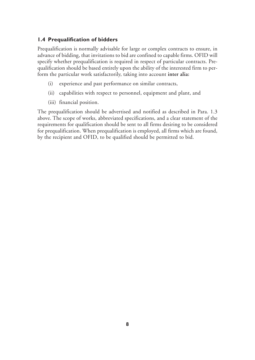## **1.4 Prequalification of bidders**

Prequalification is normally advisable for large or complex contracts to ensure, in advance of bidding, that invitations to bid are confined to capable firms. OFID will specify whether prequalification is required in respect of particular contracts. Prequalification should be based entirely upon the ability of the interested firm to perform the particular work satisfactorily, taking into account **inter alia:**

- (i) experience and past performance on similar contracts,
- (ii) capabilities with respect to personnel, equipment and plant, and
- (iii) financial position.

The prequalification should be advertised and notified as described in Para. 1.3 above. The scope of works, abbreviated specifications, and a clear statement of the requirements for qualification should be sent to all firms desiring to be considered for prequalification. When prequalification is employed, all firms which are found, by the recipient and OFID, to be qualified should be permitted to bid.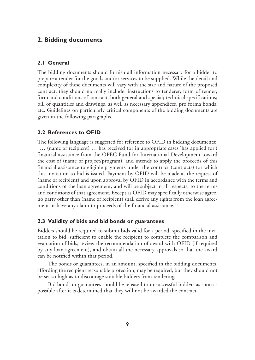## **2. Bidding documents**

#### **2.1 General**

The bidding documents should furnish all information necessary for a bidder to prepare a tender for the goods and/or services to be supplied. While the detail and complexity of these documents will vary with the size and nature of the proposed contract, they should normally include: instructions to tenderer; form of tender; form and conditions of contract, both general and special; technical specifications; bill of quantities and drawings, as well as necessary appendices, pro forma bonds, etc. Guidelines on particularly critical components of the bidding documents are given in the following paragraphs.

#### **2.2 References to OFID**

The following language is suggested for reference to OFID in bidding documents: "… (name of recipient) … has received (or in appropriate cases 'has applied for') financial assistance from the OPEC Fund for International Development toward the cost of (name of project/program), and intends to apply the proceeds of this financial assistance to eligible payments under the contract (contracts) for which this invitation to bid is issued. Payment by OFID will be made at the request of (name of recipient) and upon approval by OFID in accordance with the terms and conditions of the loan agreement, and will be subject in all respects, to the terms and conditions of that agreement. Except as OFID may specifically otherwise agree, no party other than (name of recipient) shall derive any rights from the loan agreement or have any claim to proceeds of the financial assistance."

#### **2.3 Validity of bids and bid bonds or guarantees**

Bidders should be required to submit bids valid for a period, specified in the invitation to bid, sufficient to enable the recipient to complete the comparison and evaluation of bids, review the recommendation of award with OFID (if required by any loan agreement), and obtain all the necessary approvals so that the award can be notified within that period.

The bonds or guarantees, in an amount, specified in the bidding documents, affording the recipient reasonable protection, may be required, but they should not be set so high as to discourage suitable bidders from tendering.

Bid bonds or guarantees should be released to unsuccessful bidders as soon as possible after it is determined that they will not be awarded the contract.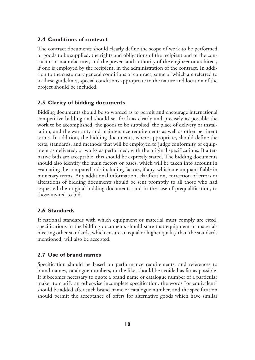### **2.4 Conditions of contract**

The contract documents should clearly define the scope of work to be performed or goods to be supplied, the rights and obligations of the recipient and of the contractor or manufacturer, and the powers and authority of the engineer or architect, if one is employed by the recipient, in the administration of the contract. In addition to the customary general conditions of contract, some of which are referred to in these guidelines, special conditions appropriate to the nature and location of the project should be included.

### **2.5 Clarity of bidding documents**

Bidding documents should be so worded as to permit and encourage international competitive bidding and should set forth as clearly and precisely as possible the work to be accomplished, the goods to be supplied, the place of delivery or installation, and the warranty and maintenance requirements as well as other pertinent terms. In addition, the bidding documents, where appropriate, should define the tests, standards, and methods that will be employed to judge conformity of equipment as delivered, or works as performed, with the original specifications. If alternative bids are acceptable, this should be expressly stated. The bidding documents should also identify the main factors or bases, which will be taken into account in evaluating the compared bids in cluding factors, if any, which are unquantifiable in monetary terms. Any additional information, clarification, correction of errors or alterations of bidding documents should be sent promptly to all those who had requested the original bidding documents, and in the case of prequalification, to those invited to bid.

### **2.6 Standards**

If national standards with which equipment or material must comply are cited, specifications in the bidding documents should state that equipment or materials meeting other standards, which ensure an equal or higher quality than the standards mentioned, will also be accepted.

### **2.7 Use of brand names**

Specification should be based on performance requirements, and references to brand names, catalogue numbers, or the like, should be avoided as far as possible. If it becomes necessary to quote a brand name or catalogue number of a particular maker to clarify an otherwise incomplete specification, the words "or equivalent" should be added after such brand name or catalogue number, and the specification should permit the acceptance of offers for alternative goods which have similar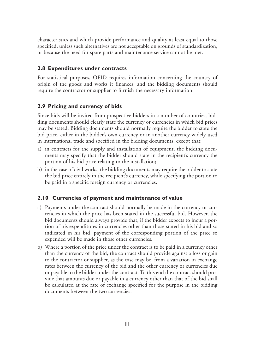characteristics and which provide performance and quality at least equal to those specified, unless such alternatives are not acceptable on grounds of standardization, or because the need for spare parts and maintenance service cannot be met.

## **2.8 Expenditures under contracts**

For statistical purposes, OFID requires information concerning the country of origin of the goods and works it finances, and the bidding documents should require the contractor or supplier to furnish the necessary information.

## **2.9 Pricing and currency of bids**

Since bids will be invited from prospective bidders in a number of countries, bidding documents should clearly state the currency or currencies in which bid prices may be stated. Bidding documents should normally require the bidder to state the bid price, either in the bidder's own currency or in another currency widely used in international trade and specified in the bidding documents, except that:

- a) in contracts for the supply and installation of equipment, the bidding documents may specify that the bidder should state in the recipient's currency the portion of his bid price relating to the installation;
- b) in the case of civil works, the bidding documents may require the bidder to state the bid price entirely in the recipient's currency, while specifying the portion to be paid in a specific foreign currency or currencies.

### **2.10 Currencies of payment and maintenance of value**

- a) Payments under the contract should normally be made in the currency or currencies in which the price has been stated in the successful bid. However, the bid documents should always provide that, if the bidder expects to incur a portion of his expenditures in currencies other than those stated in his bid and so indicated in his bid, payment of the corresponding portion of the price so expended will be made in those other currencies.
- b) Where a portion of the price under the contract is to be paid in a currency other than the currency of the bid, the contract should provide against a loss or gain to the contractor or supplier, as the case may be, from a variation in exchange rates between the currency of the bid and the other currency or currencies due or payable to the bidder under the contract. To this end the contract should provide that amounts due or payable in a currency other than that of the bid shall be calculated at the rate of exchange specified for the purpose in the bidding documents between the two currencies.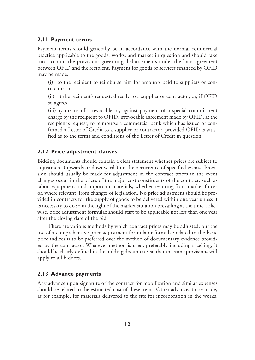#### **2.11 Payment terms**

Payment terms should generally be in accordance with the normal commercial practice applicable to the goods, works, and market in question and should take into account the provisions governing disbursements under the loan agreement between OFID and the recipient. Payment for goods or services financed by OFID may be made:

(i) to the recipient to reimburse him for amounts paid to suppliers or contractors, or

(ii) at the recipient's request, directly to a supplier or contractor, or, if OFID so agrees,

(iii) by means of a revocable or, against payment of a special commitment charge by the recipient to OFID, irrevocable agreement made by OFID, at the recipient's request, to reimburse a commercial bank which has issued or confirmed a Letter of Credit to a supplier or contractor, provided OFID is satisfied as to the terms and conditions of the Letter of Credit in question.

### **2.12 Price adjustment clauses**

Bidding documents should contain a clear statement whether prices are subject to adjustment (upwards or downwards) on the occurrence of specified events. Provision should usually be made for adjustment in the contract prices in the event changes occur in the prices of the major cost constituents of the contract, such as labor, equipment, and important materials, whether resulting from market forces or, where relevant, from changes of legislation. No price adjustment should be provided in contracts for the supply of goods to be delivered within one year unless it is necessary to do so in the light of the market situation prevailing at the time. Likewise, price adjustment formulae should start to be applicable not less than one year after the closing date of the bid.

There are various methods by which contract prices may be adjusted, but the use of a comprehensive price adjustment formula or formulae related to the basic price indices is to be preferred over the method of documentary evidence provided by the contractor. Whatever method is used, preferably including a ceiling, it should be clearly defined in the bidding documents so that the same provisions will apply to all bidders.

### **2.13 Advance payments**

Any advance upon signature of the contract for mobilization and similar expenses should be related to the estimated cost of these items. Other advances to be made, as for example, for materials delivered to the site for incorporation in the works,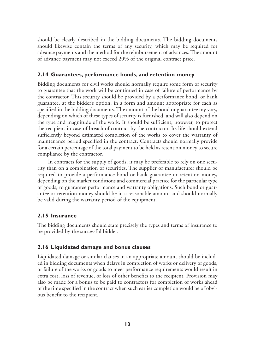should be clearly described in the bidding documents. The bidding documents should likewise contain the terms of any security, which may be required for advance payments and the method for the reimbursement of advances. The amount of advance payment may not exceed 20% of the original contract price.

### **2.14 Guarantees, performance bonds, and retention money**

Bidding documents for civil works should normally require some form of security to guarantee that the work will be continued in case of failure of performance by the contractor. This security should be provided by a performance bond, or bank guarantee, at the bidder's option, in a form and amount appropriate for each as specified in the bidding documents. The amount of the bond or guarantee my vary, depending on which of these types of security is furnished, and will also depend on the type and magnitude of the work. It should be sufficient, however, to protect the recipient in case of breach of contract by the contractor. Its life should extend sufficiently beyond estimated completion of the works to cover the warranty of maintenance period specified in the contract. Contracts should normally provide for a certain percentage of the total payment to be held as retention money to secure compliance by the contractor.

In contracts for the supply of goods, it may be preferable to rely on one security than on a combination of securities. The supplier or manufacturer should be required to provide a performance bond or bank guarantee or retention money, depending on the market conditions and commercial practice for the particular type of goods, to guarantee performance and warranty obligations. Such bond or guarantee or retention money should be in a reasonable amount and should normally be valid during the warranty period of the equipment.

### **2.15 Insurance**

The bidding documents should state precisely the types and terms of insurance to be provided by the successful bidder.

#### **2.16 Liquidated damage and bonus clauses**

Liquidated damage or similar clauses in an appropriate amount should be included in bidding documents when delays in completion of works or delivery of goods, or failure of the works or goods to meet performance requirements would result in extra cost, loss of revenue, or loss of other benefits to the recipient. Provision may also be made for a bonus to be paid to contractors for completion of works ahead of the time specified in the contract when such earlier completion would be of obvious benefit to the recipient.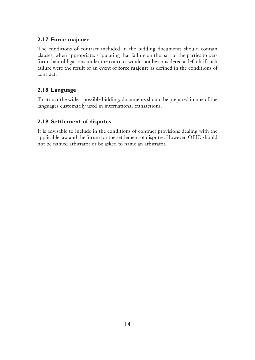## **2.17 Force majeure**

The conditions of contract included in the bidding documents should contain clauses, when appropriate, stipulating that failure on the part of the parties to perform their obligations under the contract would not be considered a default if such failure were the result of an event of **force majeure** as defined in the conditions of contract.

## **2.18 Language**

To attract the widest possible bidding, documents should be prepared in one of the languages customarily used in international transactions.

## **2.19 Settlement of disputes**

It is advisable to include in the conditions of contract provisions dealing with the applicable law and the forum for the settlement of disputes. However, OFID should not be named arbitrator or be asked to name an arbitrator.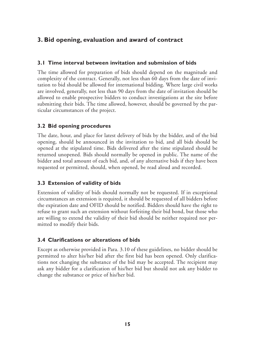## **3. Bid opening, evaluation and award of contract**

## **3.1 Time interval between invitation and submission of bids**

The time allowed for preparation of bids should depend on the magnitude and complexity of the contract. Generally, not less than 60 days from the date of invitation to bid should be allowed for international bidding. Where large civil works are involved, generally, not less than 90 days from the date of invitation should be allowed to enable prospective bidders to conduct investigations at the site before submitting their bids. The time allowed, however, should be governed by the particular circumstances of the project.

## **3.2 Bid opening procedures**

The date, hour, and place for latest delivery of bids by the bidder, and of the bid opening, should be announced in the invitation to bid, and all bids should be opened at the stipulated time. Bids delivered after the time stipulated should be returned unopened. Bids should normally be opened in public. The name of the bidder and total amount of each bid, and, of any alternative bids if they have been requested or permitted, should, when opened, be read aloud and recorded.

## **3.3 Extension of validity of bids**

Extension of validity of bids should normally not be requested. If in exceptional circumstances an extension is required, it should be requested of all bidders before the expiration date and OFID should be notified. Bidders should have the right to refuse to grant such an extension without forfeiting their bid bond, but those who are willing to extend the validity of their bid should be neither required nor permitted to modify their bids.

### **3.4 Clarifications or alterations of bids**

Except as otherwise provided in Para. 3.10 of these guidelines, no bidder should be permitted to alter his/her bid after the first bid has been opened. Only clarifications not changing the substance of the bid may be accepted. The recipient may ask any bidder for a clarification of his/her bid but should not ask any bidder to change the substance or price of his/her bid.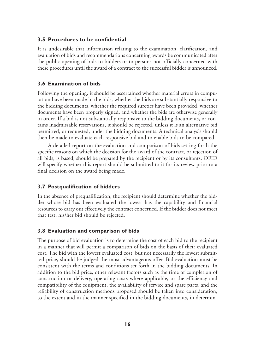#### **3.5 Procedures to be confidential**

It is undesirable that information relating to the examination, clarification, and evaluation of bids and recommendations concerning awards be communicated after the public opening of bids to bidders or to persons not officially concerned with these procedures until the award of a contract to the successful bidder is announced.

#### **3.6 Examination of bids**

Following the opening, it should be ascertained whether material errors in computation have been made in the bids, whether the bids are substantially responsive to the bidding documents, whether the required sureties have been provided, whether documents have been properly signed, and whether the bids are otherwise generally in order. If a bid is not substantially responsive to the bidding documents, or contains inadmissable reservations, it should be rejected, unless it is an alternative bid permitted, or requested, under the bidding documents. A technical analysis should then be made to evaluate each responsive bid and to enable bids to be compared.

A detailed report on the evaluation and comparison of bids setting forth the specific reasons on which the decision for the award of the contract, or rejection of all bids, is based, should be prepared by the recipient or by its consultants. OFID will specify whether this report should be submitted to it for its review prior to a final decision on the award being made.

#### **3.7 Postqualification of bidders**

In the absence of prequalification, the recipient should determine whether the bidder whose bid has been evaluated the lowest has the capability and financial resources to carry out effectively the contract concerned. If the bidder does not meet that test, his/her bid should be rejected.

#### **3.8 Evaluation and comparison of bids**

The purpose of bid evaluation is to determine the cost of each bid to the recipient in a manner that will permit a comparison of bids on the basis of their evaluated cost. The bid with the lowest evaluated cost, but not necessarily the lowest submitted price, should be judged the most advantageous offer. Bid evaluation must be consistent with the terms and conditions set forth in the bidding documents. In addition to the bid price, other relevant factors such as the time of completion of construction or delivery, operating costs where applicable, or the efficiency and compatibility of the equipment, the availability of service and spare parts, and the reliability of construction methods proposed should be taken into consideration, to the extent and in the manner specified in the bidding documents, in determin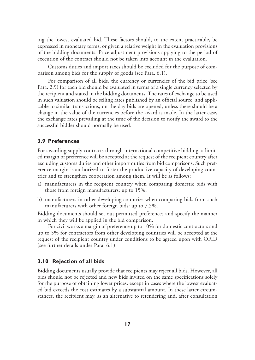ing the lowest evaluated bid. These factors should, to the extent practicable, be expressed in monetary terms, or given a relative weight in the evaluation provisions of the bidding documents. Price adjustment provisions applying to the period of execution of the contract should not be taken into account in the evaluation.

Customs duties and import taxes should be excluded for the purpose of comparison among bids for the supply of goods (see Para. 6.1).

For comparison of all bids, the currency or currencies of the bid price (see Para. 2.9) for each bid should be evaluated in terms of a single currency selected by the recipient and stated in the bidding documents. The rates of exchange to be used in such valuation should be selling rates published by an official source, and applicable to similar transactions, on the day bids are opened, unless there should be a change in the value of the currencies before the award is made. In the latter case, the exchange rates prevailing at the time of the decision to notify the award to the successful bidder should normally be used.

### **3.9 Preferences**

For awarding supply contracts through international competitive bidding, a limited margin of preference will be accepted at the request of the recipient country after excluding customs duties and other import duties from bid comparisons. Such preference margin is authorized to foster the productive capacity of developing countries and to strengthen cooperation among them. It will be as follows:

- a) manufacturers in the recipient country when comparing domestic bids with those from foreign manufacturers: up to 15%;
- b) manufacturers in other developing countries when comparing bids from such manufacturers with other foreign bids: up to 7.5%.

Bidding documents should set out permitted preferences and specify the manner in which they will be applied in the bid comparison.

For civil works a margin of preference up to 10% for domestic contractors and up to 5% for contractors from other developing countries will be accepted at the request of the recipient country under conditions to be agreed upon with OFID (see further details under Para. 6.1).

#### **3.10 Rejection of all bids**

Bidding documents usually provide that recipients may reject all bids. However, all bids should not be rejected and new bids invited on the same specifications solely for the purpose of obtaining lower prices, except in cases where the lowest evaluated bid exceeds the cost estimates by a substantial amount. In these latter circumstances, the recipient may, as an alternative to retendering and, after consultation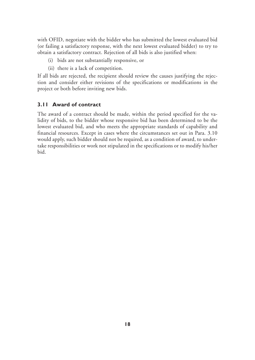with OFID, negotiate with the bidder who has submitted the lowest evaluated bid (or failing a satisfactory response, with the next lowest evaluated bidder) to try to obtain a satisfactory contract. Rejection of all bids is also justified when:

- (i) bids are not substantially responsive, or
- (ii) there is a lack of competition.

If all bids are rejected, the recipient should review the causes justifying the rejection and consider either revisions of the specifications or modifications in the project or both before inviting new bids.

### **3.11 Award of contract**

The award of a contract should be made, within the period specified for the validity of bids, to the bidder whose responsive bid has been determined to be the lowest evaluated bid, and who meets the appropriate standards of capability and financial resources. Except in cases where the circumstances set out in Para. 3.10 would apply, such bidder should not be required, as a condition of award, to undertake responsibilities or work not stipulated in the specifications or to modify his/her bid.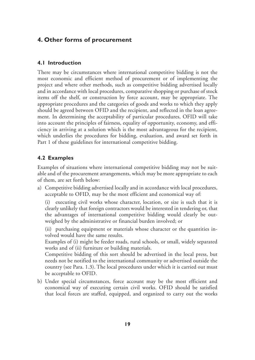## **4. Other forms of procurement**

### **4.1 Introduction**

There may be circumstances where international competitive bidding is not the most economic and efficient method of procurement or of implementing the project and where other methods, such as competitive bidding advertised locally and in accordance with local procedures, comparative shopping or purchase of stock items off the shelf, or construction by force account, may be appropriate. The appropriate procedures and the categories of goods and works to which they apply should be agreed between OFID and the recipient, and reflected in the loan agreement. In determining the acceptability of particular procedures, OFID will take into account the principles of fairness, equality of opportunity, economy, and efficiency in arriving at a solution which is the most advantageous for the recipient, which underlies the procedures for bidding, evaluation, and award set forth in Part 1 of these guidelines for international competitive bidding.

### **4.2 Examples**

Examples of situations where international competitive bidding may not be suitable and of the procurement arrangements, which may be more appropriate to each of them, are set forth below:

a) Competitive bidding advertised locally and in accordance with local procedures, acceptable to OFID, may be the most efficient and economical way of:

(i) executing civil works whose character, location, or size is such that it is clearly unlikely that foreign contractors would be interested in tendering or, that the advantages of international competitive bidding would clearly be outweighed by the administrative or financial burden involved; or

(ii) purchasing equipment or materials whose character or the quantities involved would have the same results.

Examples of (i) might be feeder roads, rural schools, or small, widely separated works and of (ii) furniture or building materials.

Competitive bidding of this sort should be advertised in the local press, but needs not be notified to the international community or advertised outside the country (see Para. 1.3). The local procedures under which it is carried out must be acceptable to OFID.

b) Under special circumstances, force account may be the most efficient and economical way of executing certain civil works. OFID should be satisfied that local forces are staffed, equipped, and organized to carry out the works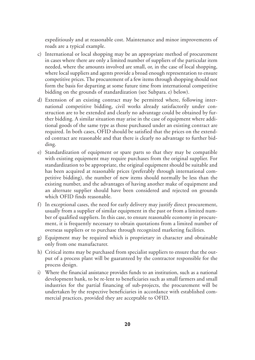expeditiously and at reasonable cost. Maintenance and minor improvements of roads are a typical example.

- c) International or local shopping may be an appropriate method of procurement in cases where there are only a limited number of suppliers of the particular item needed, where the amounts involved are small, or, in the case of local shopping, where local suppliers and agents provide a broad enough representation to ensure competitive prices. The procurement of a few items through shopping should not form the basis for departing at some future time from international competitive bidding on the grounds of standardization (see Subpara. e) below).
- d) Extension of an existing contract may be permitted where, following international competitive bidding, civil works already satisfactorily under construction are to be extended and clearly no advantage could be obtained by further bidding. A similar situation may arise in the case of equipment where additional goods of the same type as those purchased under an existing contract are required. In both cases, OFID should be satisfied that the prices on the extended contract are reasonable and that there is clearly no advantage to further bidding.
- e) Standardization of equipment or spare parts so that they may be compatible with existing equipment may require purchases from the original supplier. For standardization to be appropriate, the original equipment should be suitable and has been acquired at reasonable prices (preferably through international competitive bidding), the number of new items should normally be less than the existing number, and the advantages of having another make of equipment and an alternate supplier should have been considered and rejected on grounds which OFID finds reasonable.
- f) In exceptional cases, the need for early delivery may justify direct procurement, usually from a supplier of similar equipment in the past or from a limited number of qualified suppliers. In this case, to ensure reasonable economy in procurement, it is frequently necessary to obtain quotations from a limited number of overseas suppliers or to purchase through recognized marketing facilities.
- g) Equipment may be required which is proprietary in character and obtainable only from one manufacturer.
- h) Critical items may be purchased from specialist suppliers to ensure that the output of a process plant will be guaranteed by the contractor responsible for the process design.
- i) Where the financial assistance provides funds to an institution, such as a national development bank, to be re-lent to beneficiaries such as small farmers and small industries for the partial financing of sub-projects, the procurement will be undertaken by the respective beneficiaries in accordance with established commercial practices, provided they are acceptable to OFID.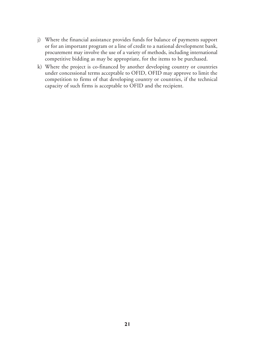- j) Where the financial assistance provides funds for balance of payments support or for an important program or a line of credit to a national development bank, procurement may involve the use of a variety of methods, including international competitive bidding as may be appropriate, for the items to be purchased.
- k) Where the project is co-financed by another developing country or countries under concessional terms acceptable to OFID, OFID may approve to limit the competition to firms of that developing country or countries, if the technical capacity of such firms is acceptable to OFID and the recipient.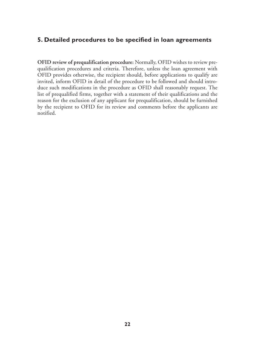## **5. Detailed procedures to be specified in loan agreements**

**OFID review of prequalification procedure:** Normally, OFID wishes to review prequalification procedures and criteria. Therefore, unless the loan agreement with OFID provides otherwise, the recipient should, before applications to qualify are invited, inform OFID in detail of the procedure to be followed and should introduce such modifications in the procedure as OFID shall reasonably request. The list of prequalified firms, together with a statement of their qualifications and the reason for the exclusion of any applicant for prequalification, should be furnished by the recipient to OFID for its review and comments before the applicants are notified.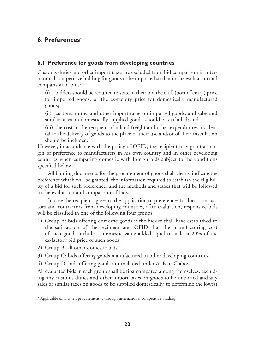## **6. Preferences**\*

### **6.1 Preference for goods from developing countries**

Customs duties and other import taxes are excluded from bid comparison in international competitive bidding for goods to be imported so that in the evaluation and comparison of bids:

(i) bidders should be required to state in their bid the c.i.f. (port of entry) price for imported goods, or the ex-factory price for domestically manufactured goods;

(ii) customs duties and other import taxes on imported goods, and sales and similar taxes on domestically supplied goods, should be excluded; and

(iii) the cost to the recipient of inland freight and other expenditures incidental to the delivery of goods to the place of their use and/or of their installation should be included.

However, in accordance with the policy of OFID, the recipient may grant a margin of preference to manufacturers in his own country and in other developing countries when comparing domestic with foreign bids subject to the conditions specified below.

All bidding documents for the procurement of goods shall clearly indicate the preference which will be granted, the information required to establish the eligibility of a bid for such preference, and the methods and stages that will be followed in the evaluation and comparison of bids.

In case the recipient agrees to the application of preferences for local contractors and contractors from developing countries, after evaluation, responsive bids will be classified in one of the following four groups:

- 1) Group A: bids offering domestic goods if the bidder shall have established to the satisfaction of the recipient and OFID that the manufacturing cost of such goods includes a domestic value added equal to at least 20% of the ex-factory bid price of such goods.
- 2) Group B: all other domestic bids.
- 3) Group C: bids offering goods manufactured in other developing countries.
- 4) Group D: bids offering goods not included under A, B or C above.

All evaluated bids in each group shall be first compared among themselves, excluding any customs duties and other import taxes on goods to be imported and any sales or similar taxes on goods to be supplied domestically, to determine the lowest

<sup>\*</sup> Applicable only when procurement is through international competitive bidding.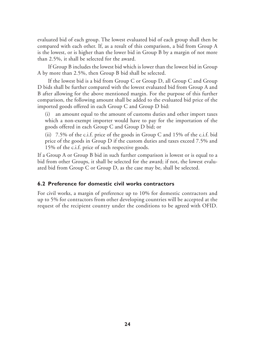evaluated bid of each group. The lowest evaluated bid of each group shall then be compared with each other. If, as a result of this comparison, a bid from Group A is the lowest, or is higher than the lower bid in Group B by a margin of not more than 2.5%, it shall be selected for the award.

If Group B includes the lowest bid which is lower than the lowest bid in Group A by more than 2.5%, then Group B bid shall be selected.

If the lowest bid is a bid from Group C or Group D, all Group C and Group D bids shall be further compared with the lowest evaluated bid from Group A and B after allowing for the above mentioned margin. For the purpose of this further comparison, the following amount shall be added to the evaluated bid price of the imported goods offered in each Group C and Group D bid:

(i) an amount equal to the amount of customs duties and other import taxes which a non-exempt importer would have to pay for the importation of the goods offered in each Group C and Group D bid; or

(ii) 7.5% of the c.i.f. price of the goods in Group C and 15% of the c.i.f. bid price of the goods in Group D if the custom duties and taxes exceed 7.5% and 15% of the c.i.f. price of such respective goods.

If a Group A or Group B bid in such further comparison is lowest or is equal to a bid from other Groups, it shall be selected for the award; if not, the lowest evaluated bid from Group C or Group D, as the case may be, shall be selected.

## **6.2 Preference for domestic civil works contractors**

For civil works, a margin of preference up to 10% for domestic contractors and up to 5% for contractors from other developing countries will be accepted at the request of the recipient country under the conditions to be agreed with OFID.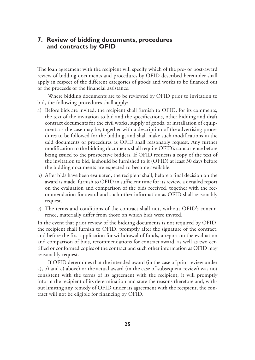## **7. Review of bidding documents, procedures and contracts by OFID**

The loan agreement with the recipient will specify which of the pre- or post-award review of bidding documents and procedures by OFID described hereunder shall apply in respect of the different categories of goods and works to be financed out of the proceeds of the financial assistance.

Where bidding documents are to be reviewed by OFID prior to invitation to bid, the following procedures shall apply:

- a) Before bids are invited, the recipient shall furnish to OFID, for its comments, the text of the invitation to bid and the specifications, other bidding and draft contract documents for the civil works, supply of goods, or installation of equipment, as the case may be, together with a description of the advertising procedures to be followed for the bidding, and shall make such modifications in the said documents or procedures as OFID shall reasonably request. Any further modification to the bidding documents shall require OFID's concurrence before being issued to the prospective bidders. If OFID requests a copy of the text of the invitation to bid, is should be furnished to it (OFID) at least 30 days before the bidding documents are expected to become available.
- b) After bids have been evaluated, the recipient shall, before a final decision on the award is made, furnish to OFID in sufficient time for its review, a detailed report on the evaluation and comparison of the bids received, together with the recommendation for award and such other information as OFID shall reasonably request.
- c) The terms and conditions of the contract shall not, without OFID's concurrence, materially differ from those on which bids were invited.

In the event that prior review of the bidding documents is not required by OFID, the recipient shall furnish to OFID, promptly after the signature of the contract, and before the first application for withdrawal of funds, a report on the evaluation and comparison of bids, recommendations for contract award, as well as two certified or conformed copies of the contract and such other information as OFID may reasonably request.

If OFID determines that the intended award (in the case of prior review under a), b) and c) above) or the actual award (in the case of subsequent review) was not consistent with the terms of its agreement with the recipient, it will promptly inform the recipient of its determination and state the reasons therefore and, without limiting any remedy of OFID under its agreement with the recipient, the contract will not be eligible for financing by OFID.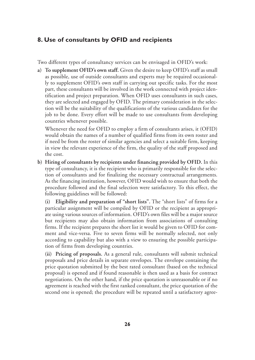## **8. Use of consultants by OFID and recipients**

Two different types of consultancy services can be envisaged in OFID's work:

**a) To supplement OFID's own staff.** Given the desire to keep OFID's staff as small as possible, use of outside consultants and experts may be required occasionally to supplement OFID's own staff in carrying out specific tasks. For the most part, these consultants will be involved in the work connected with project identification and project preparation. When OFID uses consultants in such cases, they are selected and engaged by OFID. The primary consideration in the selection will be the suitability of the qualifications of the various candidates for the job to be done. Every effort will be made to use consultants from developing countries whenever possible.

Whenever the need for OFID to employ a firm of consultants arises, it (OFID) would obtain the names of a number of qualified firms from its own roster and if need be from the roster of similar agencies and select a suitable firm, keeping in view the relevant experience of the firm, the quality of the staff proposed and the cost.

**b) Hiring of consultants by recipients under financing provided by OFID.** In this type of consultancy, it is the recipient who is primarily responsible for the selection of consultants and for finalizing the necessary contractual arrangements. As the financing institution, however, OFID would wish to ensure that both the procedure followed and the final selection were satisfactory. To this effect, the following guidelines will be followed:

**(i) Eligibility and preparation of "short lists".** The "short lists" of firms for a particular assignment will be compiled by OFID or the recipient as appropriate using various sources of information. OFID's own files will be a major source but recipients may also obtain information from associations of consulting firms. If the recipient prepares the short list it would be given to OFID for comment and vice-versa. Five to seven firms will be normally selected, not only according to capability but also with a view to ensuring the possible participation of firms from developing countries.

**(ii) Pricing of proposals.** As a general rule, consultants will submit technical proposals and price details in separate envelopes. The envelope containing the price quotation submitted by the best rated consultant (based on the technical proposal) is opened and if found reasonable is then used as a basis for contract negotiations. On the other hand, if the price quotation is unreasonable or if no agreement is reached with the first ranked consultant, the price quotation of the second one is opened; the procedure will be repeated until a satisfactory agree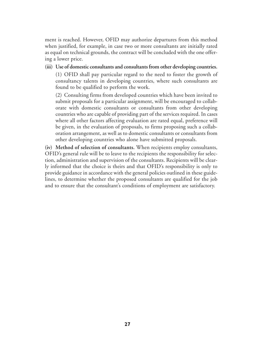ment is reached. However, OFID may authorize departures from this method when justified, for example, in case two or more consultants are initially rated as equal on technical grounds, the contract will be concluded with the one offering a lower price.

**(iii) Use of domestic consultants and consultants from other developing countries.** (1) OFID shall pay particular regard to the need to foster the growth of

consultancy talents in developing countries, where such consultants are found to be qualified to perform the work.

(2) Consulting firms from developed countries which have been invited to submit proposals for a particular assignment, will be encouraged to collaborate with domestic consultants or consultants from other developing countries who are capable of providing part of the services required. In cases where all other factors affecting evaluation are rated equal, preference will be given, in the evaluation of proposals, to firms proposing such a collaboration arrangement, as well as to domestic consultants or consultants from other developing countries who alone have submitted proposals.

**(iv) Method of selection of consultants.** When recipients employ consultants, OFID's general rule will be to leave to the recipients the responsibility for selection, administration and supervision of the consultants. Recipients will be clearly informed that the choice is theirs and that OFID's responsibility is only to provide guidance in accordance with the general policies outlined in these guidelines, to determine whether the proposed consultants are qualified for the job and to ensure that the consultant's conditions of employment are satisfactory.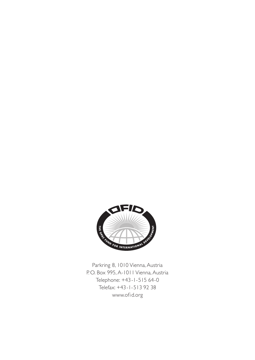

Parkring 8, 1010 Vienna, Austria P.O. Box 995, A-1011 Vienna, Austria Telephone: +43-1-515 64-0 Telefax: +43-1-513 92 38 www.ofid.org